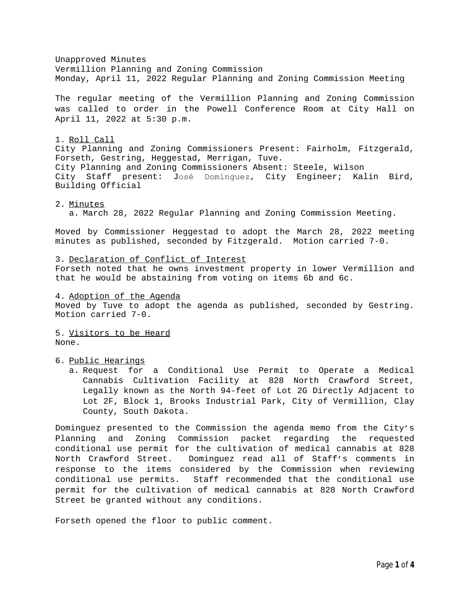Unapproved Minutes Vermillion Planning and Zoning Commission Monday, April 11, 2022 Regular Planning and Zoning Commission Meeting

The regular meeting of the Vermillion Planning and Zoning Commission was called to order in the Powell Conference Room at City Hall on April 11, 2022 at 5:30 p.m.

## 1. Roll Call

City Planning and Zoning Commissioners Present: Fairholm, Fitzgerald, Forseth, Gestring, Heggestad, Merrigan, Tuve. City Planning and Zoning Commissioners Absent: Steele, Wilson City Staff present: José Domínguez, City Engineer; Kalin Bird, Building Official

## 2. Minutes

a. March 28, 2022 Regular Planning and Zoning Commission Meeting.

Moved by Commissioner Heggestad to adopt the March 28, 2022 meeting minutes as published, seconded by Fitzgerald. Motion carried 7-0.

3. Declaration of Conflict of Interest

Forseth noted that he owns investment property in lower Vermillion and that he would be abstaining from voting on items 6b and 6c.

## 4. Adoption of the Agenda

Moved by Tuve to adopt the agenda as published, seconded by Gestring. Motion carried 7-0.

5. Visitors to be Heard None.

## 6. Public Hearings

a. Request for a Conditional Use Permit to Operate a Medical Cannabis Cultivation Facility at 828 North Crawford Street, Legally known as the North 94-feet of Lot 2G Directly Adjacent to Lot 2F, Block 1, Brooks Industrial Park, City of Vermillion, Clay County, South Dakota.

Dominguez presented to the Commission the agenda memo from the City's Planning and Zoning Commission packet regarding the requested conditional use permit for the cultivation of medical cannabis at 828 North Crawford Street. Dominguez read all of Staff's comments in response to the items considered by the Commission when reviewing conditional use permits. Staff recommended that the conditional use permit for the cultivation of medical cannabis at 828 North Crawford Street be granted without any conditions.

Forseth opened the floor to public comment.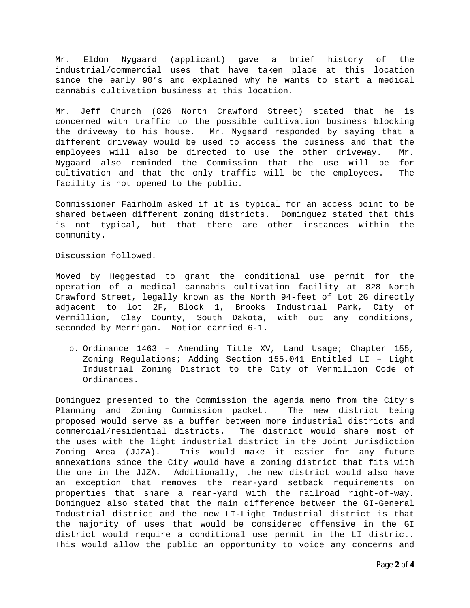Mr. Eldon Nygaard (applicant) gave a brief history of the industrial/commercial uses that have taken place at this location since the early 90's and explained why he wants to start a medical cannabis cultivation business at this location.

Mr. Jeff Church (826 North Crawford Street) stated that he is concerned with traffic to the possible cultivation business blocking the driveway to his house. Mr. Nygaard responded by saying that a different driveway would be used to access the business and that the employees will also be directed to use the other driveway. Mr. Nygaard also reminded the Commission that the use will be for cultivation and that the only traffic will be the employees. The facility is not opened to the public.

Commissioner Fairholm asked if it is typical for an access point to be shared between different zoning districts. Dominguez stated that this is not typical, but that there are other instances within the community.

Discussion followed.

Moved by Heggestad to grant the conditional use permit for the operation of a medical cannabis cultivation facility at 828 North Crawford Street, legally known as the North 94-feet of Lot 2G directly adjacent to lot 2F, Block 1, Brooks Industrial Park, City of Vermillion, Clay County, South Dakota, with out any conditions, seconded by Merrigan. Motion carried 6-1.

b. Ordinance 1463 – Amending Title XV, Land Usage; Chapter 155, Zoning Regulations; Adding Section 155.041 Entitled LI – Light Industrial Zoning District to the City of Vermillion Code of Ordinances.

Dominguez presented to the Commission the agenda memo from the City's Planning and Zoning Commission packet. The new district being proposed would serve as a buffer between more industrial districts and commercial/residential districts. The district would share most of the uses with the light industrial district in the Joint Jurisdiction Zoning Area (JJZA). This would make it easier for any future annexations since the City would have a zoning district that fits with the one in the JJZA. Additionally, the new district would also have an exception that removes the rear-yard setback requirements on properties that share a rear-yard with the railroad right-of-way. Dominguez also stated that the main difference between the GI-General Industrial district and the new LI-Light Industrial district is that the majority of uses that would be considered offensive in the GI district would require a conditional use permit in the LI district. This would allow the public an opportunity to voice any concerns and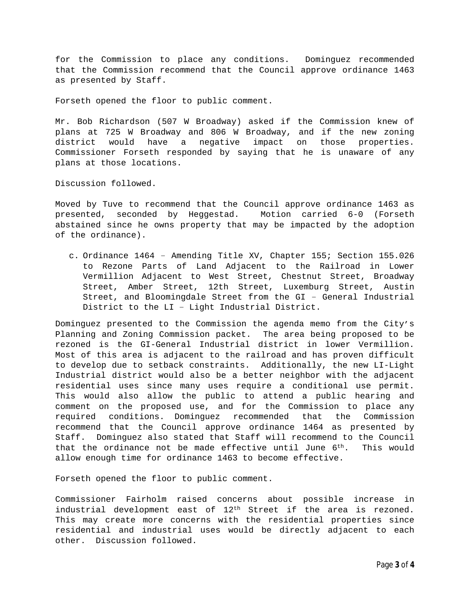for the Commission to place any conditions. Dominguez recommended that the Commission recommend that the Council approve ordinance 1463 as presented by Staff.

Forseth opened the floor to public comment.

Mr. Bob Richardson (507 W Broadway) asked if the Commission knew of plans at 725 W Broadway and 806 W Broadway, and if the new zoning district would have a negative impact on those properties. Commissioner Forseth responded by saying that he is unaware of any plans at those locations.

Discussion followed.

Moved by Tuve to recommend that the Council approve ordinance 1463 as presented, seconded by Heggestad. Motion carried 6-0 (Forseth abstained since he owns property that may be impacted by the adoption of the ordinance).

c. Ordinance 1464 – Amending Title XV, Chapter 155; Section 155.026 to Rezone Parts of Land Adjacent to the Railroad in Lower Vermillion Adjacent to West Street, Chestnut Street, Broadway Street, Amber Street, 12th Street, Luxemburg Street, Austin Street, and Bloomingdale Street from the GI – General Industrial District to the LI – Light Industrial District.

Dominguez presented to the Commission the agenda memo from the City's Planning and Zoning Commission packet. The area being proposed to be rezoned is the GI-General Industrial district in lower Vermillion. Most of this area is adjacent to the railroad and has proven difficult to develop due to setback constraints. Additionally, the new LI-Light Industrial district would also be a better neighbor with the adjacent residential uses since many uses require a conditional use permit. This would also allow the public to attend a public hearing and comment on the proposed use, and for the Commission to place any required conditions. Dominguez recommended that the Commission recommend that the Council approve ordinance 1464 as presented by Staff. Dominguez also stated that Staff will recommend to the Council that the ordinance not be made effective until June 6<sup>th</sup>. This would allow enough time for ordinance 1463 to become effective.

Forseth opened the floor to public comment.

Commissioner Fairholm raised concerns about possible increase in industrial development east of  $12<sup>th</sup>$  Street if the area is rezoned. This may create more concerns with the residential properties since residential and industrial uses would be directly adjacent to each other. Discussion followed.